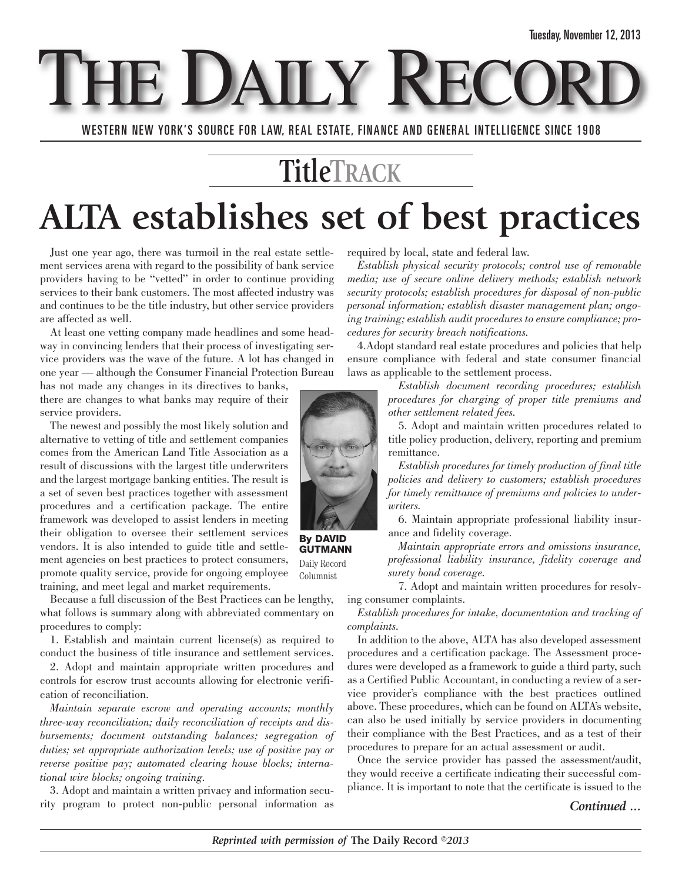**E DAILY REC** 

WESTERN NEW YORK'S SOURCE FOR LAW, REAL ESTATE, FINANCE AND GENERAL INTELLIGENCE SINCE 1908

### **TitleTRACK**

## **ALTA establishes set of best practices**

Just one year ago, there was turmoil in the real estate settlement services arena with regard to the possibility of bank service providers having to be "vetted" in order to continue providing services to their bank customers. The most affected industry was and continues to be the title industry, but other service providers are affected as well.

At least one vetting company made headlines and some headway in convincing lenders that their process of investigating service providers was the wave of the future. A lot has changed in one year — although the Consumer Financial Protection Bureau

has not made any changes in its directives to banks, there are changes to what banks may require of their service providers.

The newest and possibly the most likely solution and alternative to vetting of title and settlement companies comes from the American Land Title Association as a result of discussions with the largest title underwriters and the largest mortgage banking entities. The result is a set of seven best practices together with assessment procedures and a certification package. The entire framework was developed to assist lenders in meeting their obligation to oversee their settlement services vendors. It is also intended to guide title and settlement agencies on best practices to protect consumers, promote quality service, provide for ongoing employee training, and meet legal and market requirements.

Because a full discussion of the Best Practices can be lengthy, what follows is summary along with abbreviated commentary on procedures to comply:

1. Establish and maintain current license(s) as required to conduct the business of title insurance and settlement services.

2. Adopt and maintain appropriate written procedures and controls for escrow trust accounts allowing for electronic verification of reconciliation.

*Maintain separate escrow and operating accounts; monthly three-way reconciliation; daily reconciliation of receipts and disbursements; document outstanding balances; segregation of duties; set appropriate authorization levels; use of positive pay or reverse positive pay; automated clearing house blocks; international wire blocks; ongoing training.*

3. Adopt and maintain a written privacy and information security program to protect non-public personal information as required by local, state and federal law.

*Establish physical security protocols; control use of removable media; use of secure online delivery methods; establish network security protocols; establish procedures for disposal of non-public personal information; establish disaster management plan; ongoing training; establish audit procedures to ensure compliance; procedures for security breach notifications.*

4.Adopt standard real estate procedures and policies that help ensure compliance with federal and state consumer financial laws as applicable to the settlement process.

> *Establish document recording procedures; establish procedures for charging of proper title premiums and other settlement related fees.*

5. Adopt and maintain written procedures related to title policy production, delivery, reporting and premium remittance.

*Establish procedures for timely production of final title policies and delivery to customers; establish procedures for timely remittance of premiums and policies to underwriters.*

6. Maintain appropriate professional liability insurance and fidelity coverage.

*Maintain appropriate errors and omissions insurance, professional liability insurance, fidelity coverage and surety bond coverage.*

7. Adopt and maintain written procedures for resolving consumer complaints.

*Establish procedures for intake, documentation and tracking of complaints.*

In addition to the above, ALTA has also developed assessment procedures and a certification package. The Assessment procedures were developed as a framework to guide a third party, such as a Certified Public Accountant, in conducting a review of a service provider's compliance with the best practices outlined above. These procedures, which can be found on ALTA's website, can also be used initially by service providers in documenting their compliance with the Best Practices, and as a test of their procedures to prepare for an actual assessment or audit.

Once the service provider has passed the assessment/audit, they would receive a certificate indicating their successful compliance. It is important to note that the certificate is issued to the

#### *Continued ...*



**By DAVID GUTMANN** Daily Record

Columnist

*Reprinted with permission of* **The Daily Record** *©2013*